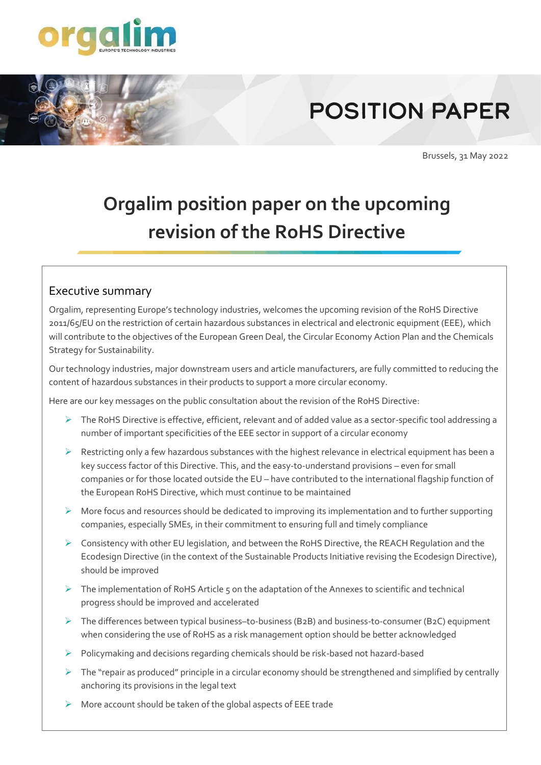

## **POSITION PAPER**

Brussels, 31 May 2022

## **Orgalim position paper on the upcoming revision of the RoHS Directive**

## Executive summary

Orgalim, representing Europe's technology industries, welcomes the upcoming revision of the RoHS Directive 2011/65/EU on the restriction of certain hazardous substances in electrical and electronic equipment (EEE), which will contribute to the objectives of the European Green Deal, the Circular Economy Action Plan and the Chemicals Strategy for Sustainability.

Our technology industries, major downstream users and article manufacturers, are fully committed to reducing the content of hazardous substances in their products to support a more circular economy.

Here are our key messages on the public consultation about the revision of the RoHS Directive:

- ➢ The RoHS Directive is effective, efficient, relevant and of added value as a sector-specific tool addressing a number of important specificities of the EEE sector in support of a circular economy
- ➢ Restricting only a few hazardous substances with the highest relevance in electrical equipment has been a key success factor of this Directive. This, and the easy-to-understand provisions – even for small companies or for those located outside the EU – have contributed to the international flagship function of the European RoHS Directive, which must continue to be maintained
- ➢ More focus and resources should be dedicated to improving its implementation and to further supporting companies, especially SMEs, in their commitment to ensuring full and timely compliance
- $\triangleright$  Consistency with other EU legislation, and between the RoHS Directive, the REACH Regulation and the Ecodesign Directive (in the context of the Sustainable Products Initiative revising the Ecodesign Directive), should be improved
- $\triangleright$  The implementation of RoHS Article 5 on the adaptation of the Annexes to scientific and technical progress should be improved and accelerated
- ➢ The differences between typical business–to-business (B2B) and business-to-consumer (B2C) equipment when considering the use of RoHS as a risk management option should be better acknowledged
- ➢ Policymaking and decisions regarding chemicals should be risk-based not hazard-based
- ➢ The "repair as produced" principle in a circular economy should be strengthened and simplified by centrally anchoring its provisions in the legal text
- $\triangleright$  More account should be taken of the global aspects of EEE trade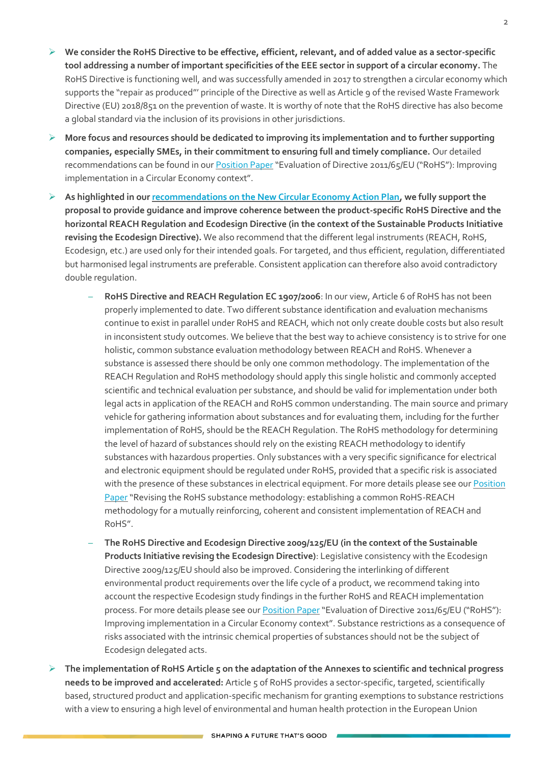- ➢ **We consider the RoHS Directive to be effective, efficient, relevant, and of added value as a sector-specific tool addressing a number of important specificities of the EEE sector in support of a circular economy.** The RoHS Directive is functioning well, and was successfully amended in 2017 to strengthen a circular economy which supports the "repair as produced"' principle of the Directive as well as Article 9 of the revised Waste Framework Directive (EU) 2018/851 on the prevention of waste. It is worthy of note that the RoHS directive has also become a global standard via the inclusion of its provisions in other jurisdictions.
- ➢ **More focus and resources should be dedicated to improving its implementation and to further supporting companies, especially SMEs, in their commitment to ensuring full and timely compliance.** Our detailed recommendations can be found in ou[r Position Paper](https://orgalim.eu/sites/default/files/attachment/ORGALIM%20PP_RoHS%20EVALUATION_2019%2012%2006_final.pdf) "Evaluation of Directive 2011/65/EU ("RoHS"): Improving implementation in a Circular Economy context".
- ➢ **As highlighted in ou[r recommendations on the New Circular Economy Action Plan,](https://orgalim.eu/position-papers/environment-orgalim-position-paper-new-circular-economy-action-plan) we fully support the proposal to provide guidance and improve coherence between the product-specific RoHS Directive and the horizontal REACH Regulation and Ecodesign Directive (in the context of the Sustainable Products Initiative revising the Ecodesign Directive).** We also recommend that the different legal instruments (REACH, RoHS, Ecodesign, etc.) are used only for their intended goals. For targeted, and thus efficient, regulation, differentiated but harmonised legal instruments are preferable. Consistent application can therefore also avoid contradictory double regulation.
	- **RoHS Directive and REACH Regulation EC 1907/2006**: In our view, Article 6 of RoHS has not been properly implemented to date. Two different substance identification and evaluation mechanisms continue to exist in parallel under RoHS and REACH, which not only create double costs but also result in inconsistent study outcomes. We believe that the best way to achieve consistency is to strive for one holistic, common substance evaluation methodology between REACH and RoHS. Whenever a substance is assessed there should be only one common methodology. The implementation of the REACH Regulation and RoHS methodology should apply this single holistic and commonly accepted scientific and technical evaluation per substance, and should be valid for implementation under both legal acts in application of the REACH and RoHS common understanding. The main source and primary vehicle for gathering information about substances and for evaluating them, including for the further implementation of RoHS, should be the REACH Regulation. The RoHS methodology for determining the level of hazard of substances should rely on the existing REACH methodology to identify substances with hazardous properties. Only substances with a very specific significance for electrical and electronic equipment should be regulated under RoHS, provided that a specific risk is associated with the presence of these substances in electrical equipment. For more details please see our Position [Paper](https://www.orgalim.eu/position-papers/orgalime-response-consultation-rohs-substance-review-methodology) "Revising the RoHS substance methodology: establishing a common RoHS-REACH methodology for a mutually reinforcing, coherent and consistent implementation of REACH and RoHS".
	- **The RoHS Directive and Ecodesign Directive 2009/125/EU (in the context of the Sustainable Products Initiative revising the Ecodesign Directive)**: Legislative consistency with the Ecodesign Directive 2009/125/EU should also be improved. Considering the interlinking of different environmental product requirements over the life cycle of a product, we recommend taking into account the respective Ecodesign study findings in the further RoHS and REACH implementation process. For more details please see our [Position Paper](https://www.orgalim.eu/sites/default/files/attachment/ORGALIM%20PP_RoHS%20EVALUATION_2019%2012%2006_final.pdf) "Evaluation of Directive 2011/65/EU ("RoHS"): Improving implementation in a Circular Economy context". Substance restrictions as a consequence of risks associated with the intrinsic chemical properties of substances should not be the subject of Ecodesign delegated acts.
- ➢ **The implementation of RoHS Article 5 on the adaptation of the Annexes to scientific and technical progress needs to be improved and accelerated:** Article 5 of RoHS provides a sector-specific, targeted, scientifically based, structured product and application-specific mechanism for granting exemptions to substance restrictions with a view to ensuring a high level of environmental and human health protection in the European Union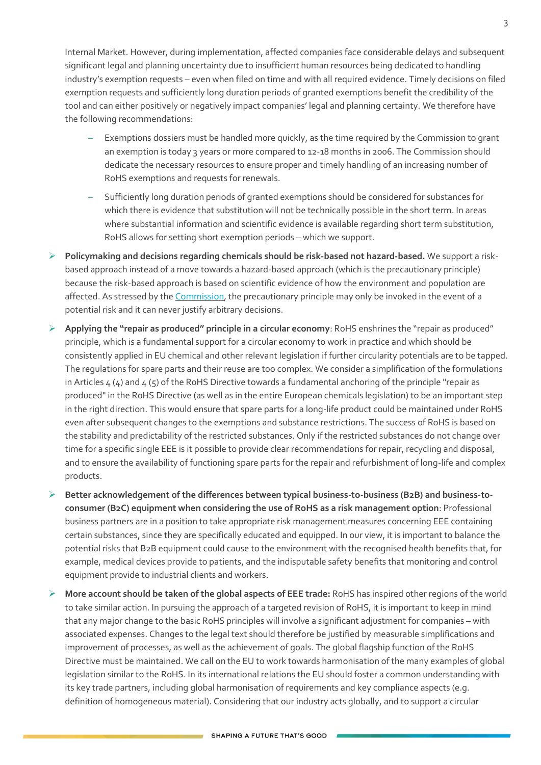Internal Market. However, during implementation, affected companies face considerable delays and subsequent significant legal and planning uncertainty due to insufficient human resources being dedicated to handling industry's exemption requests – even when filed on time and with all required evidence. Timely decisions on filed exemption requests and sufficiently long duration periods of granted exemptions benefit the credibility of the tool and can either positively or negatively impact companies' legal and planning certainty. We therefore have the following recommendations:

- Exemptions dossiers must be handled more quickly, as the time required by the Commission to grant an exemption is today 3 years or more compared to 12-18 months in 2006. The Commission should dedicate the necessary resources to ensure proper and timely handling of an increasing number of RoHS exemptions and requests for renewals.
- Sufficiently long duration periods of granted exemptions should be considered for substances for which there is evidence that substitution will not be technically possible in the short term. In areas where substantial information and scientific evidence is available regarding short term substitution, RoHS allows for setting short exemption periods – which we support.
- ➢ **Policymaking and decisions regarding chemicals should be risk-based not hazard-based.** We support a riskbased approach instead of a move towards a hazard-based approach (which is the precautionary principle) because the risk-based approach is based on scientific evidence of how the environment and population are affected. As stressed by the [Commission,](https://eur-lex.europa.eu/legal-content/EN/TXT/?uri=LEGISSUM%3Al32042) the precautionary principle may only be invoked in the event of a potential risk and it can never justify arbitrary decisions.
- ➢ **Applying the "repair as produced" principle in a circular economy**: RoHS enshrines the "repair as produced" principle, which is a fundamental support for a circular economy to work in practice and which should be consistently applied in EU chemical and other relevant legislation if further circularity potentials are to be tapped. The regulations for spare parts and their reuse are too complex. We consider a simplification of the formulations in Articles  $4 \times 2$  and  $4 \times 5$  of the RoHS Directive towards a fundamental anchoring of the principle "repair as produced" in the RoHS Directive (as well as in the entire European chemicals legislation) to be an important step in the right direction. This would ensure that spare parts for a long-life product could be maintained under RoHS even after subsequent changes to the exemptions and substance restrictions. The success of RoHS is based on the stability and predictability of the restricted substances. Only if the restricted substances do not change over time for a specific single EEE is it possible to provide clear recommendations for repair, recycling and disposal, and to ensure the availability of functioning spare parts for the repair and refurbishment of long-life and complex products.
- ➢ **Better acknowledgement of the differences between typical business-to-business (B2B) and business-toconsumer (B2C) equipment when considering the use of RoHS as a risk management option**: Professional business partners are in a position to take appropriate risk management measures concerning EEE containing certain substances, since they are specifically educated and equipped. In our view, it is important to balance the potential risks that B2B equipment could cause to the environment with the recognised health benefits that, for example, medical devices provide to patients, and the indisputable safety benefits that monitoring and control equipment provide to industrial clients and workers.
- ➢ **More account should be taken of the global aspects of EEE trade:** RoHS has inspired other regions of the world to take similar action. In pursuing the approach of a targeted revision of RoHS, it is important to keep in mind that any major change to the basic RoHS principles will involve a significant adjustment for companies – with associated expenses. Changes to the legal text should therefore be justified by measurable simplifications and improvement of processes, as well as the achievement of goals. The global flagship function of the RoHS Directive must be maintained. We call on the EU to work towards harmonisation of the many examples of global legislation similar to the RoHS. In its international relations the EU should foster a common understanding with its key trade partners, including global harmonisation of requirements and key compliance aspects (e.g. definition of homogeneous material). Considering that our industry acts globally, and to support a circular